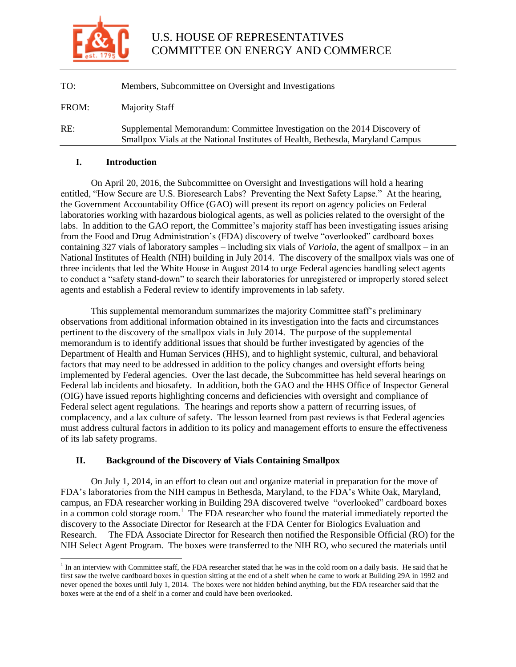

| TO:   | Members, Subcommittee on Oversight and Investigations                                                                                                       |
|-------|-------------------------------------------------------------------------------------------------------------------------------------------------------------|
| FROM: | Majority Staff                                                                                                                                              |
| RE:   | Supplemental Memorandum: Committee Investigation on the 2014 Discovery of<br>Smallpox Vials at the National Institutes of Health, Bethesda, Maryland Campus |

### **I. Introduction**

l

On April 20, 2016, the Subcommittee on Oversight and Investigations will hold a hearing entitled, "How Secure are U.S. Bioresearch Labs? Preventing the Next Safety Lapse." At the hearing, the Government Accountability Office (GAO) will present its report on agency policies on Federal laboratories working with hazardous biological agents, as well as policies related to the oversight of the labs. In addition to the GAO report, the Committee's majority staff has been investigating issues arising from the Food and Drug Administration's (FDA) discovery of twelve "overlooked" cardboard boxes containing 327 vials of laboratory samples – including six vials of *Variola*, the agent of smallpox – in an National Institutes of Health (NIH) building in July 2014. The discovery of the smallpox vials was one of three incidents that led the White House in August 2014 to urge Federal agencies handling select agents to conduct a "safety stand-down" to search their laboratories for unregistered or improperly stored select agents and establish a Federal review to identify improvements in lab safety.

This supplemental memorandum summarizes the majority Committee staff's preliminary observations from additional information obtained in its investigation into the facts and circumstances pertinent to the discovery of the smallpox vials in July 2014. The purpose of the supplemental memorandum is to identify additional issues that should be further investigated by agencies of the Department of Health and Human Services (HHS), and to highlight systemic, cultural, and behavioral factors that may need to be addressed in addition to the policy changes and oversight efforts being implemented by Federal agencies. Over the last decade, the Subcommittee has held several hearings on Federal lab incidents and biosafety. In addition, both the GAO and the HHS Office of Inspector General (OIG) have issued reports highlighting concerns and deficiencies with oversight and compliance of Federal select agent regulations. The hearings and reports show a pattern of recurring issues, of complacency, and a lax culture of safety. The lesson learned from past reviews is that Federal agencies must address cultural factors in addition to its policy and management efforts to ensure the effectiveness of its lab safety programs.

### **II. Background of the Discovery of Vials Containing Smallpox**

On July 1, 2014, in an effort to clean out and organize material in preparation for the move of FDA's laboratories from the NIH campus in Bethesda, Maryland, to the FDA's White Oak, Maryland, campus, an FDA researcher working in Building 29A discovered twelve "overlooked" cardboard boxes in a common cold storage room.<sup>1</sup> The FDA researcher who found the material immediately reported the discovery to the Associate Director for Research at the FDA Center for Biologics Evaluation and Research. The FDA Associate Director for Research then notified the Responsible Official (RO) for the NIH Select Agent Program. The boxes were transferred to the NIH RO, who secured the materials until

<sup>&</sup>lt;sup>1</sup> In an interview with Committee staff, the FDA researcher stated that he was in the cold room on a daily basis. He said that he first saw the twelve cardboard boxes in question sitting at the end of a shelf when he came to work at Building 29A in 1992 and never opened the boxes until July 1, 2014. The boxes were not hidden behind anything, but the FDA researcher said that the boxes were at the end of a shelf in a corner and could have been overlooked.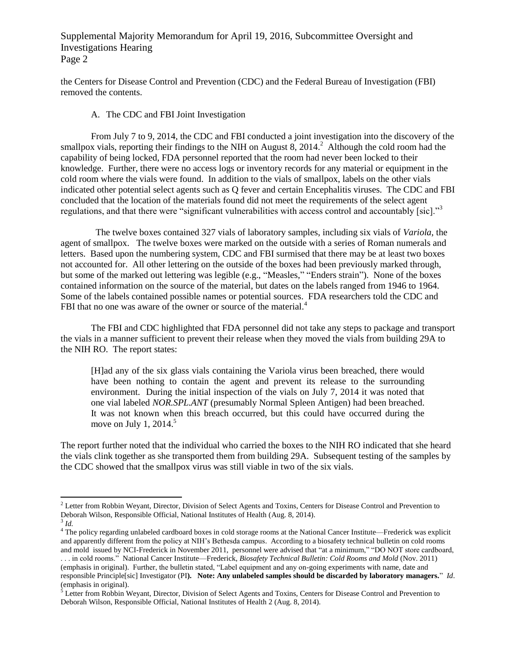the Centers for Disease Control and Prevention (CDC) and the Federal Bureau of Investigation (FBI) removed the contents.

### A. The CDC and FBI Joint Investigation

From July 7 to 9, 2014, the CDC and FBI conducted a joint investigation into the discovery of the smallpox vials, reporting their findings to the NIH on August  $\overline{8}$ , 2014.<sup>2</sup> Although the cold room had the capability of being locked, FDA personnel reported that the room had never been locked to their knowledge. Further, there were no access logs or inventory records for any material or equipment in the cold room where the vials were found. In addition to the vials of smallpox, labels on the other vials indicated other potential select agents such as Q fever and certain Encephalitis viruses. The CDC and FBI concluded that the location of the materials found did not meet the requirements of the select agent regulations, and that there were "significant vulnerabilities with access control and accountably [sic]."<sup>3</sup>

 The twelve boxes contained 327 vials of laboratory samples, including six vials of *Variola*, the agent of smallpox. The twelve boxes were marked on the outside with a series of Roman numerals and letters. Based upon the numbering system, CDC and FBI surmised that there may be at least two boxes not accounted for. All other lettering on the outside of the boxes had been previously marked through, but some of the marked out lettering was legible (e.g., "Measles," "Enders strain"). None of the boxes contained information on the source of the material, but dates on the labels ranged from 1946 to 1964. Some of the labels contained possible names or potential sources. FDA researchers told the CDC and FBI that no one was aware of the owner or source of the material.<sup>4</sup>

The FBI and CDC highlighted that FDA personnel did not take any steps to package and transport the vials in a manner sufficient to prevent their release when they moved the vials from building 29A to the NIH RO. The report states:

[H]ad any of the six glass vials containing the Variola virus been breached, there would have been nothing to contain the agent and prevent its release to the surrounding environment. During the initial inspection of the vials on July 7, 2014 it was noted that one vial labeled *NOR.SPL.ANT* (presumably Normal Spleen Antigen) had been breached. It was not known when this breach occurred, but this could have occurred during the move on July 1, 2014. $5$ 

The report further noted that the individual who carried the boxes to the NIH RO indicated that she heard the vials clink together as she transported them from building 29A. Subsequent testing of the samples by the CDC showed that the smallpox virus was still viable in two of the six vials.

 $\overline{a}$ 

<sup>&</sup>lt;sup>2</sup> Letter from Robbin Weyant, Director, Division of Select Agents and Toxins, Centers for Disease Control and Prevention to Deborah Wilson, Responsible Official, National Institutes of Health (Aug. 8, 2014).

<sup>3</sup> *Id.*

<sup>&</sup>lt;sup>4</sup> The policy regarding unlabeled cardboard boxes in cold storage rooms at the National Cancer Institute—Frederick was explicit and apparently different from the policy at NIH's Bethesda campus. According to a biosafety technical bulletin on cold rooms and mold issued by NCI-Frederick in November 2011, personnel were advised that "at a minimum," "DO NOT store cardboard, . . . in cold rooms." National Cancer Institute—Frederick, *Biosafety Technical Bulletin: Cold Rooms and Mold* (Nov. 2011) (emphasis in original). Further, the bulletin stated, "Label equipment and any on-going experiments with name, date and

responsible Principle[sic] Investigator (PI**). Note: Any unlabeled samples should be discarded by laboratory managers.**" *Id*. (emphasis in original).

 $<sup>5</sup>$  Letter from Robbin Weyant, Director, Division of Select Agents and Toxins, Centers for Disease Control and Prevention to</sup> Deborah Wilson, Responsible Official, National Institutes of Health 2 (Aug. 8, 2014).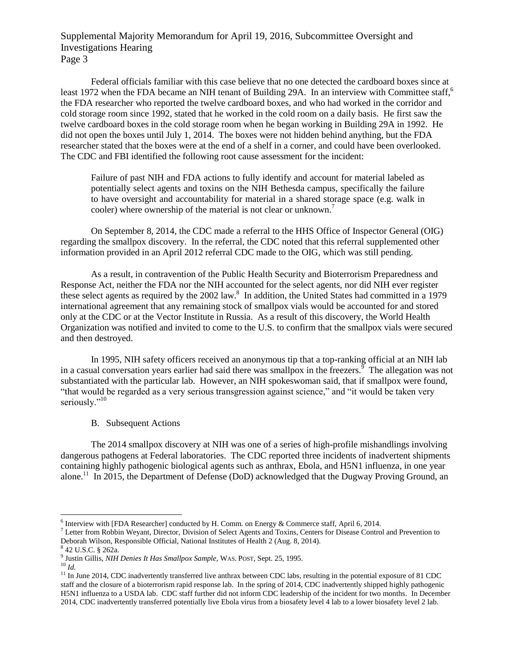Federal officials familiar with this case believe that no one detected the cardboard boxes since at least 1972 when the FDA became an NIH tenant of Building 29A. In an interview with Committee staff,<sup>6</sup> the FDA researcher who reported the twelve cardboard boxes, and who had worked in the corridor and cold storage room since 1992, stated that he worked in the cold room on a daily basis. He first saw the twelve cardboard boxes in the cold storage room when he began working in Building 29A in 1992. He did not open the boxes until July 1, 2014. The boxes were not hidden behind anything, but the FDA researcher stated that the boxes were at the end of a shelf in a corner, and could have been overlooked. The CDC and FBI identified the following root cause assessment for the incident:

Failure of past NIH and FDA actions to fully identify and account for material labeled as potentially select agents and toxins on the NIH Bethesda campus, specifically the failure to have oversight and accountability for material in a shared storage space (e.g. walk in cooler) where ownership of the material is not clear or unknown.<sup>7</sup>

On September 8, 2014, the CDC made a referral to the HHS Office of Inspector General (OIG) regarding the smallpox discovery. In the referral, the CDC noted that this referral supplemented other information provided in an April 2012 referral CDC made to the OIG, which was still pending.

As a result, in contravention of the Public Health Security and Bioterrorism Preparedness and Response Act, neither the FDA nor the NIH accounted for the select agents, nor did NIH ever register these select agents as required by the 2002 law.<sup>8</sup> In addition, the United States had committed in a 1979 international agreement that any remaining stock of smallpox vials would be accounted for and stored only at the CDC or at the Vector Institute in Russia. As a result of this discovery, the World Health Organization was notified and invited to come to the U.S. to confirm that the smallpox vials were secured and then destroyed.

In 1995, NIH safety officers received an anonymous tip that a top-ranking official at an NIH lab in a casual conversation years earlier had said there was smallpox in the freezers.<sup> $\frac{5}{9}$ </sup> The allegation was not substantiated with the particular lab. However, an NIH spokeswoman said, that if smallpox were found, "that would be regarded as a very serious transgression against science," and "it would be taken very seriously."<sup>10</sup>

B. Subsequent Actions

The 2014 smallpox discovery at NIH was one of a series of high-profile mishandlings involving dangerous pathogens at Federal laboratories. The CDC reported three incidents of inadvertent shipments containing highly pathogenic biological agents such as anthrax, Ebola, and H5N1 influenza, in one year alone.<sup>11</sup> In 2015, the Department of Defense (DoD) acknowledged that the Dugway Proving Ground, an

<sup>10</sup> *Id.*

 6 Interview with [FDA Researcher] conducted by H. Comm. on Energy & Commerce staff, April 6, 2014.

<sup>7</sup> Letter from Robbin Weyant, Director, Division of Select Agents and Toxins, Centers for Disease Control and Prevention to Deborah Wilson, Responsible Official, National Institutes of Health 2 (Aug. 8, 2014).

<sup>8</sup> 42 U.S.C. § 262a.

<sup>9</sup> Justin Gillis, *NIH Denies It Has Smallpox Sample*, WAS. POST, Sept. 25, 1995.

 $11$  In June 2014, CDC inadvertently transferred live anthrax between CDC labs, resulting in the potential exposure of 81 CDC staff and the closure of a bioterrorism rapid response lab. In the spring of 2014, CDC inadvertently shipped highly pathogenic H5N1 influenza to a USDA lab. CDC staff further did not inform CDC leadership of the incident for two months. In December 2014, CDC inadvertently transferred potentially live Ebola virus from a biosafety level 4 lab to a lower biosafety level 2 lab.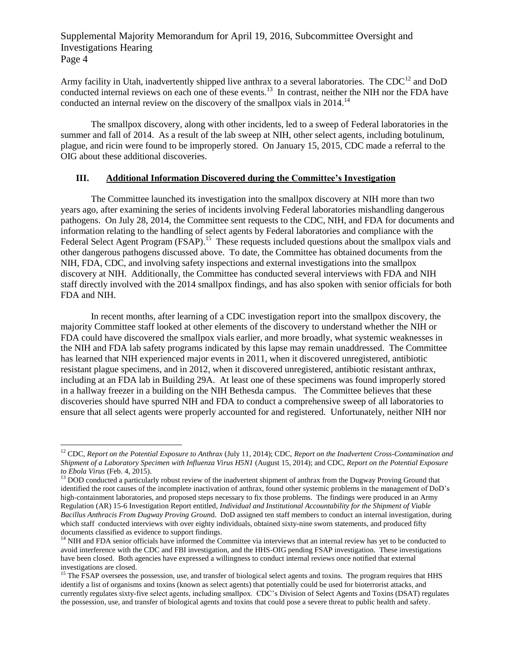Army facility in Utah, inadvertently shipped live anthrax to a several laboratories. The CDC<sup>12</sup> and DoD conducted internal reviews on each one of these events.<sup>13</sup> In contrast, neither the NIH nor the FDA have conducted an internal review on the discovery of the smallpox vials in  $2014$ .<sup>14</sup>

The smallpox discovery, along with other incidents, led to a sweep of Federal laboratories in the summer and fall of 2014. As a result of the lab sweep at NIH, other select agents, including botulinum, plague, and ricin were found to be improperly stored. On January 15, 2015, CDC made a referral to the OIG about these additional discoveries.

### **III. Additional Information Discovered during the Committee's Investigation**

The Committee launched its investigation into the smallpox discovery at NIH more than two years ago, after examining the series of incidents involving Federal laboratories mishandling dangerous pathogens. On July 28, 2014, the Committee sent requests to the CDC, NIH, and FDA for documents and information relating to the handling of select agents by Federal laboratories and compliance with the Federal Select Agent Program (FSAP).<sup>15</sup> These requests included questions about the smallpox vials and other dangerous pathogens discussed above. To date, the Committee has obtained documents from the NIH, FDA, CDC, and involving safety inspections and external investigations into the smallpox discovery at NIH. Additionally, the Committee has conducted several interviews with FDA and NIH staff directly involved with the 2014 smallpox findings, and has also spoken with senior officials for both FDA and NIH.

In recent months, after learning of a CDC investigation report into the smallpox discovery, the majority Committee staff looked at other elements of the discovery to understand whether the NIH or FDA could have discovered the smallpox vials earlier, and more broadly, what systemic weaknesses in the NIH and FDA lab safety programs indicated by this lapse may remain unaddressed. The Committee has learned that NIH experienced major events in 2011, when it discovered unregistered, antibiotic resistant plague specimens, and in 2012, when it discovered unregistered, antibiotic resistant anthrax, including at an FDA lab in Building 29A. At least one of these specimens was found improperly stored in a hallway freezer in a building on the NIH Bethesda campus. The Committee believes that these discoveries should have spurred NIH and FDA to conduct a comprehensive sweep of all laboratories to ensure that all select agents were properly accounted for and registered. Unfortunately, neither NIH nor

<sup>12</sup> CDC, *Report on the Potential Exposure to Anthrax* (July 11, 2014); CDC, *Report on the Inadvertent Cross-Contamination and Shipment of a Laboratory Specimen with Influenza Virus H5N1* (August 15, 2014); and CDC, *Report on the Potential Exposure to Ebola Virus* (Feb. 4, 2015).

<sup>&</sup>lt;sup>13</sup> DOD conducted a particularly robust review of the inadvertent shipment of anthrax from the Dugway Proving Ground that identified the root causes of the incomplete inactivation of anthrax, found other systemic problems in the management of DoD's high-containment laboratories, and proposed steps necessary to fix those problems. The findings were produced in an Army Regulation (AR) 15-6 Investigation Report entitled, *Individual and Institutional Accountability for the Shipment of Viable Bacillus Anthracis From Dugway Proving Groun*d. DoD assigned ten staff members to conduct an internal investigation, during which staff conducted interviews with over eighty individuals, obtained sixty-nine sworn statements, and produced fifty documents classified as evidence to support findings.

 $14$  NIH and FDA senior officials have informed the Committee via interviews that an internal review has yet to be conducted to avoid interference with the CDC and FBI investigation, and the HHS-OIG pending FSAP investigation. These investigations have been closed. Both agencies have expressed a willingness to conduct internal reviews once notified that external investigations are closed.

<sup>&</sup>lt;sup>15</sup> The FSAP oversees the possession, use, and transfer of biological select agents and toxins. The program requires that HHS identify a list of organisms and toxins (known as select agents) that potentially could be used for bioterrorist attacks, and currently regulates sixty-five select agents, including smallpox. CDC's Division of Select Agents and Toxins (DSAT) regulates the possession, use, and transfer of biological agents and toxins that could pose a severe threat to public health and safety.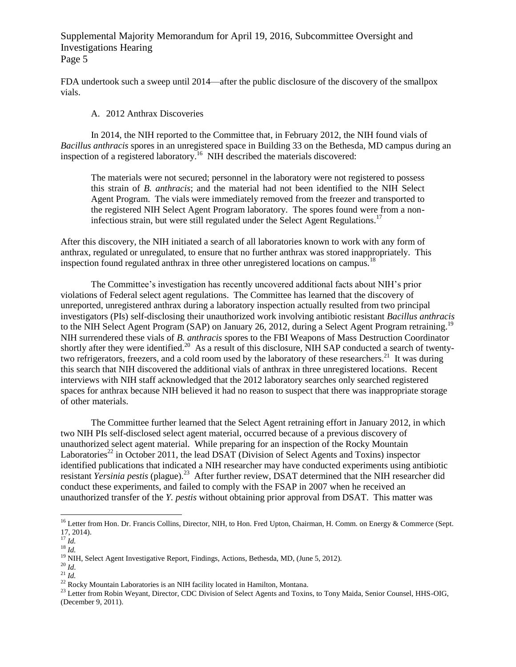FDA undertook such a sweep until 2014—after the public disclosure of the discovery of the smallpox vials.

#### A. 2012 Anthrax Discoveries

In 2014, the NIH reported to the Committee that, in February 2012, the NIH found vials of *Bacillus anthracis* spores in an unregistered space in Building 33 on the Bethesda, MD campus during an inspection of a registered laboratory.<sup>16</sup> NIH described the materials discovered:

The materials were not secured; personnel in the laboratory were not registered to possess this strain of *B. anthracis*; and the material had not been identified to the NIH Select Agent Program. The vials were immediately removed from the freezer and transported to the registered NIH Select Agent Program laboratory. The spores found were from a noninfectious strain, but were still regulated under the Select Agent Regulations.<sup>17</sup>

After this discovery, the NIH initiated a search of all laboratories known to work with any form of anthrax, regulated or unregulated, to ensure that no further anthrax was stored inappropriately. This inspection found regulated anthrax in three other unregistered locations on campus.<sup>18</sup>

The Committee's investigation has recently uncovered additional facts about NIH's prior violations of Federal select agent regulations. The Committee has learned that the discovery of unreported, unregistered anthrax during a laboratory inspection actually resulted from two principal investigators (PIs) self-disclosing their unauthorized work involving antibiotic resistant *Bacillus anthracis* to the NIH Select Agent Program (SAP) on January 26, 2012, during a Select Agent Program retraining.<sup>19</sup> NIH surrendered these vials of *B. anthracis* spores to the FBI Weapons of Mass Destruction Coordinator shortly after they were identified.<sup>20</sup> As a result of this disclosure, NIH SAP conducted a search of twentytwo refrigerators, freezers, and a cold room used by the laboratory of these researchers.<sup>21</sup> It was during this search that NIH discovered the additional vials of anthrax in three unregistered locations. Recent interviews with NIH staff acknowledged that the 2012 laboratory searches only searched registered spaces for anthrax because NIH believed it had no reason to suspect that there was inappropriate storage of other materials.

The Committee further learned that the Select Agent retraining effort in January 2012, in which two NIH PIs self-disclosed select agent material, occurred because of a previous discovery of unauthorized select agent material. While preparing for an inspection of the Rocky Mountain Laboratories<sup>22</sup> in October 2011, the lead DSAT (Division of Select Agents and Toxins) inspector identified publications that indicated a NIH researcher may have conducted experiments using antibiotic resistant *Yersinia pestis* (plague)*.* 23 After further review, DSAT determined that the NIH researcher did conduct these experiments, and failed to comply with the FSAP in 2007 when he received an unauthorized transfer of the *Y. pestis* without obtaining prior approval from DSAT. This matter was

<sup>&</sup>lt;sup>16</sup> Letter from Hon. Dr. Francis Collins, Director, NIH, to Hon. Fred Upton, Chairman, H. Comm. on Energy & Commerce (Sept. 17, 2014).

<sup>17</sup> *Id.*

<sup>18</sup> *Id.*

<sup>&</sup>lt;sup>19</sup> NIH, Select Agent Investigative Report, Findings, Actions, Bethesda, MD, (June 5, 2012).

<sup>20</sup> *Id*.

 $^{21}$  *Id.* 

<sup>&</sup>lt;sup>22</sup> Rocky Mountain Laboratories is an NIH facility located in Hamilton, Montana.

<sup>&</sup>lt;sup>23</sup> Letter from Robin Weyant, Director, CDC Division of Select Agents and Toxins, to Tony Maida, Senior Counsel, HHS-OIG, (December 9, 2011).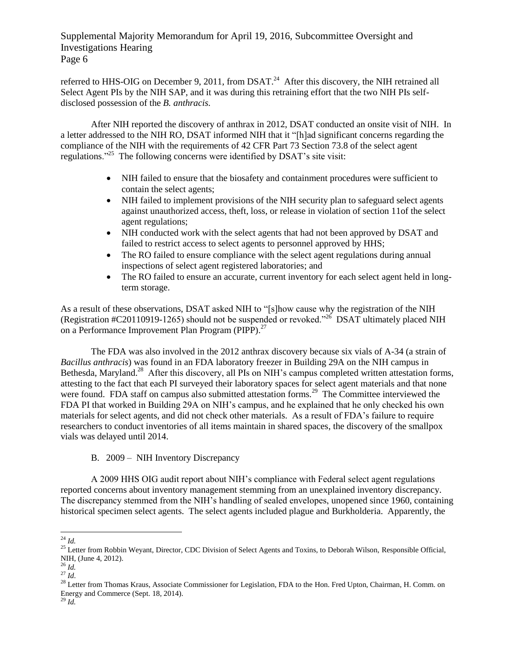referred to HHS-OIG on December 9, 2011, from DSAT. $^{24}$  After this discovery, the NIH retrained all Select Agent PIs by the NIH SAP, and it was during this retraining effort that the two NIH PIs selfdisclosed possession of the *B. anthracis.*

After NIH reported the discovery of anthrax in 2012, DSAT conducted an onsite visit of NIH. In a letter addressed to the NIH RO, DSAT informed NIH that it "[h]ad significant concerns regarding the compliance of the NIH with the requirements of 42 CFR Part 73 Section 73.8 of the select agent regulations."<sup>25</sup> The following concerns were identified by DSAT's site visit:

- NIH failed to ensure that the biosafety and containment procedures were sufficient to contain the select agents;
- NIH failed to implement provisions of the NIH security plan to safeguard select agents against unauthorized access, theft, loss, or release in violation of section 11of the select agent regulations;
- NIH conducted work with the select agents that had not been approved by DSAT and failed to restrict access to select agents to personnel approved by HHS;
- The RO failed to ensure compliance with the select agent regulations during annual inspections of select agent registered laboratories; and
- The RO failed to ensure an accurate, current inventory for each select agent held in longterm storage.

As a result of these observations, DSAT asked NIH to "[s]how cause why the registration of the NIH (Registration #C20110919-1265) should not be suspended or revoked."<sup>26</sup> DSAT ultimately placed NIH on a Performance Improvement Plan Program (PIPP).<sup>27</sup>

The FDA was also involved in the 2012 anthrax discovery because six vials of A-34 (a strain of *Bacillus anthracis*) was found in an FDA laboratory freezer in Building 29A on the NIH campus in Bethesda, Maryland.<sup>28</sup> After this discovery, all PIs on NIH's campus completed written attestation forms, attesting to the fact that each PI surveyed their laboratory spaces for select agent materials and that none were found. FDA staff on campus also submitted attestation forms.<sup>29</sup> The Committee interviewed the FDA PI that worked in Building 29A on NIH's campus, and he explained that he only checked his own materials for select agents, and did not check other materials. As a result of FDA's failure to require researchers to conduct inventories of all items maintain in shared spaces, the discovery of the smallpox vials was delayed until 2014.

B. 2009 – NIH Inventory Discrepancy

A 2009 HHS OIG audit report about NIH's compliance with Federal select agent regulations reported concerns about inventory management stemming from an unexplained inventory discrepancy. The discrepancy stemmed from the NIH's handling of sealed envelopes, unopened since 1960, containing historical specimen select agents. The select agents included plague and Burkholderia. Apparently, the

 $\overline{\phantom{a}}$ <sup>24</sup> *Id.*

<sup>&</sup>lt;sup>25</sup> Letter from Robbin Weyant, Director, CDC Division of Select Agents and Toxins, to Deborah Wilson, Responsible Official, NIH, (June 4, 2012).

<sup>26</sup> *Id.*

<sup>27</sup> *Id*.

<sup>&</sup>lt;sup>28</sup> Letter from Thomas Kraus, Associate Commissioner for Legislation, FDA to the Hon. Fred Upton, Chairman, H. Comm. on Energy and Commerce (Sept. 18, 2014).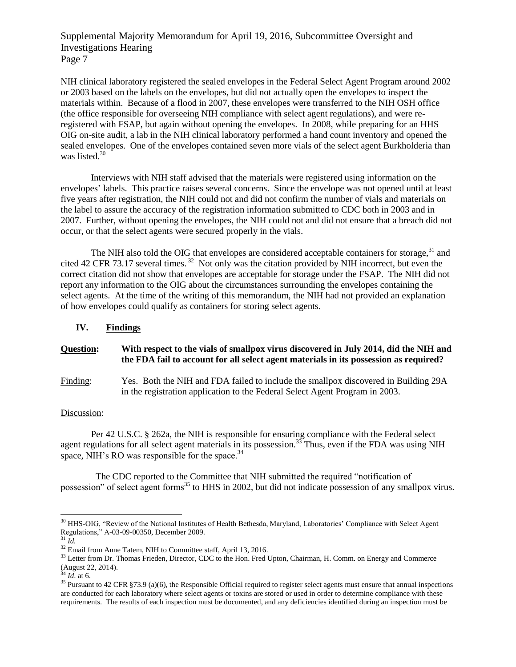NIH clinical laboratory registered the sealed envelopes in the Federal Select Agent Program around 2002 or 2003 based on the labels on the envelopes, but did not actually open the envelopes to inspect the materials within. Because of a flood in 2007, these envelopes were transferred to the NIH OSH office (the office responsible for overseeing NIH compliance with select agent regulations), and were reregistered with FSAP, but again without opening the envelopes. In 2008, while preparing for an HHS OIG on-site audit, a lab in the NIH clinical laboratory performed a hand count inventory and opened the sealed envelopes. One of the envelopes contained seven more vials of the select agent Burkholderia than was listed.<sup>30</sup>

Interviews with NIH staff advised that the materials were registered using information on the envelopes' labels. This practice raises several concerns. Since the envelope was not opened until at least five years after registration, the NIH could not and did not confirm the number of vials and materials on the label to assure the accuracy of the registration information submitted to CDC both in 2003 and in 2007. Further, without opening the envelopes, the NIH could not and did not ensure that a breach did not occur, or that the select agents were secured properly in the vials.

The NIH also told the OIG that envelopes are considered acceptable containers for storage,  $31$  and cited 42 CFR 73.17 several times.<sup>32</sup> Not only was the citation provided by NIH incorrect, but even the correct citation did not show that envelopes are acceptable for storage under the FSAP. The NIH did not report any information to the OIG about the circumstances surrounding the envelopes containing the select agents. At the time of the writing of this memorandum, the NIH had not provided an explanation of how envelopes could qualify as containers for storing select agents.

### **IV. Findings**

#### **Question: With respect to the vials of smallpox virus discovered in July 2014, did the NIH and the FDA fail to account for all select agent materials in its possession as required?**

## Finding: Yes. Both the NIH and FDA failed to include the smallpox discovered in Building 29A in the registration application to the Federal Select Agent Program in 2003.

### Discussion:

Per 42 U.S.C. § 262a, the NIH is responsible for ensuring compliance with the Federal select agent regulations for all select agent materials in its possession.<sup>33</sup> Thus, even if the FDA was using NIH space, NIH's RO was responsible for the space.<sup>34</sup>

The CDC reported to the Committee that NIH submitted the required "notification of possession" of select agent forms<sup>35</sup> to HHS in 2002, but did not indicate possession of any smallpox virus.

<sup>&</sup>lt;sup>30</sup> HHS-OIG, "Review of the National Institutes of Health Bethesda, Maryland, Laboratories' Compliance with Select Agent Regulations," A-03-09-00350, December 2009.

 $31$   $\tilde{I}d$ .

<sup>&</sup>lt;sup>32</sup> Email from Anne Tatem, NIH to Committee staff, April 13, 2016.

<sup>&</sup>lt;sup>33</sup> Letter from Dr. Thomas Frieden, Director, CDC to the Hon. Fred Upton, Chairman, H. Comm. on Energy and Commerce (August 22, 2014).

<sup>34</sup> *Id*. at 6.

<sup>&</sup>lt;sup>35</sup> Pursuant to 42 CFR §73.9 (a)(6), the Responsible Official required to register select agents must ensure that annual inspections are conducted for each laboratory where select agents or toxins are stored or used in order to determine compliance with these requirements. The results of each inspection must be documented, and any deficiencies identified during an inspection must be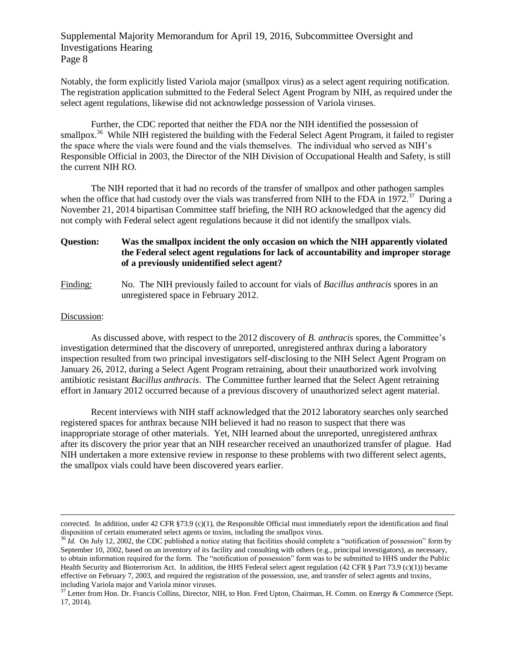Notably, the form explicitly listed Variola major (smallpox virus) as a select agent requiring notification. The registration application submitted to the Federal Select Agent Program by NIH, as required under the select agent regulations, likewise did not acknowledge possession of Variola viruses.

Further, the CDC reported that neither the FDA nor the NIH identified the possession of smallpox.<sup>36</sup> While NIH registered the building with the Federal Select Agent Program, it failed to register the space where the vials were found and the vials themselves. The individual who served as NIH's Responsible Official in 2003, the Director of the NIH Division of Occupational Health and Safety, is still the current NIH RO.

The NIH reported that it had no records of the transfer of smallpox and other pathogen samples when the office that had custody over the vials was transferred from NIH to the FDA in 1972.<sup>37</sup> During a November 21, 2014 bipartisan Committee staff briefing, the NIH RO acknowledged that the agency did not comply with Federal select agent regulations because it did not identify the smallpox vials.

# **Question: Was the smallpox incident the only occasion on which the NIH apparently violated the Federal select agent regulations for lack of accountability and improper storage of a previously unidentified select agent?**

Finding: No. The NIH previously failed to account for vials of *Bacillus anthracis* spores in an unregistered space in February 2012.

#### Discussion:

 $\overline{\phantom{a}}$ 

As discussed above, with respect to the 2012 discovery of *B. anthracis* spores, the Committee's investigation determined that the discovery of unreported, unregistered anthrax during a laboratory inspection resulted from two principal investigators self-disclosing to the NIH Select Agent Program on January 26, 2012, during a Select Agent Program retraining, about their unauthorized work involving antibiotic resistant *Bacillus anthracis*. The Committee further learned that the Select Agent retraining effort in January 2012 occurred because of a previous discovery of unauthorized select agent material.

Recent interviews with NIH staff acknowledged that the 2012 laboratory searches only searched registered spaces for anthrax because NIH believed it had no reason to suspect that there was inappropriate storage of other materials. Yet, NIH learned about the unreported, unregistered anthrax after its discovery the prior year that an NIH researcher received an unauthorized transfer of plague. Had NIH undertaken a more extensive review in response to these problems with two different select agents, the smallpox vials could have been discovered years earlier.

corrected. In addition, under 42 CFR §73.9 (c)(1), the Responsible Official must immediately report the identification and final disposition of certain enumerated select agents or toxins, including the smallpox virus.

<sup>&</sup>lt;sup>36</sup> *Id.* On July 12, 2002, the CDC published a notice stating that facilities should complete a "notification of possession" form by September 10, 2002, based on an inventory of its facility and consulting with others (e.g., principal investigators), as necessary, to obtain information required for the form. The "notification of possession" form was to be submitted to HHS under the Public Health Security and Bioterrorism Act. In addition, the HHS Federal select agent regulation (42 CFR  $\S$  Part 73.9 (c)(1)) became effective on February 7, 2003, and required the registration of the possession, use, and transfer of select agents and toxins, including Variola major and Variola minor viruses.

<sup>&</sup>lt;sup>37</sup> Letter from Hon. Dr. Francis Collins, Director, NIH, to Hon. Fred Upton, Chairman, H. Comm. on Energy & Commerce (Sept. 17, 2014).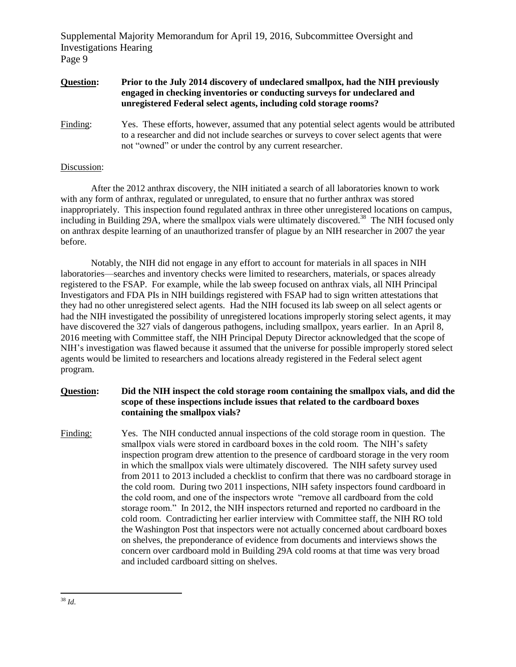### **Question: Prior to the July 2014 discovery of undeclared smallpox, had the NIH previously engaged in checking inventories or conducting surveys for undeclared and unregistered Federal select agents, including cold storage rooms?**

Finding: Yes. These efforts, however, assumed that any potential select agents would be attributed to a researcher and did not include searches or surveys to cover select agents that were not "owned" or under the control by any current researcher.

### Discussion:

After the 2012 anthrax discovery, the NIH initiated a search of all laboratories known to work with any form of anthrax, regulated or unregulated, to ensure that no further anthrax was stored inappropriately. This inspection found regulated anthrax in three other unregistered locations on campus, including in Building 29A, where the smallpox vials were ultimately discovered.<sup>38</sup> The NIH focused only on anthrax despite learning of an unauthorized transfer of plague by an NIH researcher in 2007 the year before.

Notably, the NIH did not engage in any effort to account for materials in all spaces in NIH laboratories—searches and inventory checks were limited to researchers, materials, or spaces already registered to the FSAP. For example, while the lab sweep focused on anthrax vials, all NIH Principal Investigators and FDA PIs in NIH buildings registered with FSAP had to sign written attestations that they had no other unregistered select agents. Had the NIH focused its lab sweep on all select agents or had the NIH investigated the possibility of unregistered locations improperly storing select agents, it may have discovered the 327 vials of dangerous pathogens, including smallpox, years earlier. In an April 8, 2016 meeting with Committee staff, the NIH Principal Deputy Director acknowledged that the scope of NIH's investigation was flawed because it assumed that the universe for possible improperly stored select agents would be limited to researchers and locations already registered in the Federal select agent program.

# **Question: Did the NIH inspect the cold storage room containing the smallpox vials, and did the scope of these inspections include issues that related to the cardboard boxes containing the smallpox vials?**

Finding: Yes. The NIH conducted annual inspections of the cold storage room in question. The smallpox vials were stored in cardboard boxes in the cold room. The NIH's safety inspection program drew attention to the presence of cardboard storage in the very room in which the smallpox vials were ultimately discovered. The NIH safety survey used from 2011 to 2013 included a checklist to confirm that there was no cardboard storage in the cold room. During two 2011 inspections, NIH safety inspectors found cardboard in the cold room, and one of the inspectors wrote "remove all cardboard from the cold storage room." In 2012, the NIH inspectors returned and reported no cardboard in the cold room. Contradicting her earlier interview with Committee staff, the NIH RO told the Washington Post that inspectors were not actually concerned about cardboard boxes on shelves, the preponderance of evidence from documents and interviews shows the concern over cardboard mold in Building 29A cold rooms at that time was very broad and included cardboard sitting on shelves.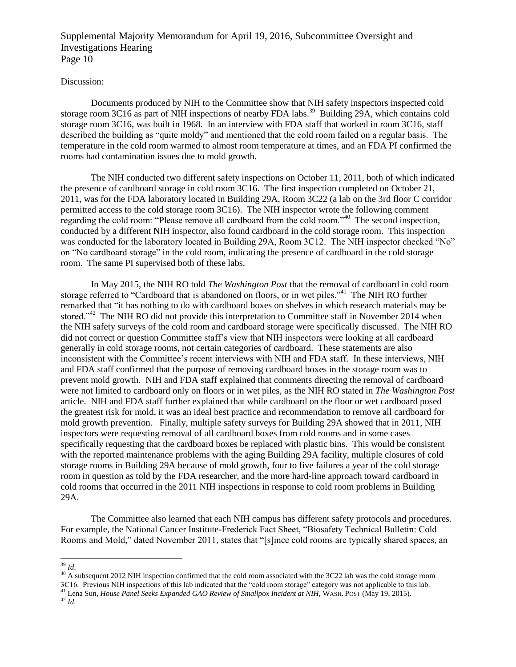#### Discussion:

Documents produced by NIH to the Committee show that NIH safety inspectors inspected cold storage room 3C16 as part of NIH inspections of nearby FDA labs.<sup>39</sup> Building 29A, which contains cold storage room 3C16, was built in 1968. In an interview with FDA staff that worked in room 3C16, staff described the building as "quite moldy" and mentioned that the cold room failed on a regular basis. The temperature in the cold room warmed to almost room temperature at times, and an FDA PI confirmed the rooms had contamination issues due to mold growth.

The NIH conducted two different safety inspections on October 11, 2011, both of which indicated the presence of cardboard storage in cold room 3C16. The first inspection completed on October 21, 2011, was for the FDA laboratory located in Building 29A, Room 3C22 (a lab on the 3rd floor C corridor permitted access to the cold storage room 3C16). The NIH inspector wrote the following comment regarding the cold room: "Please remove all cardboard from the cold room."<sup>40</sup> The second inspection, conducted by a different NIH inspector, also found cardboard in the cold storage room. This inspection was conducted for the laboratory located in Building 29A, Room 3C12. The NIH inspector checked "No" on "No cardboard storage" in the cold room, indicating the presence of cardboard in the cold storage room. The same PI supervised both of these labs.

In May 2015, the NIH RO told *The Washington Post* that the removal of cardboard in cold room storage referred to "Cardboard that is abandoned on floors, or in wet piles."<sup>41</sup> The NIH RO further remarked that "it has nothing to do with cardboard boxes on shelves in which research materials may be stored."<sup>42</sup> The NIH RO did not provide this interpretation to Committee staff in November 2014 when the NIH safety surveys of the cold room and cardboard storage were specifically discussed. The NIH RO did not correct or question Committee staff's view that NIH inspectors were looking at all cardboard generally in cold storage rooms, not certain categories of cardboard. These statements are also inconsistent with the Committee's recent interviews with NIH and FDA staff. In these interviews, NIH and FDA staff confirmed that the purpose of removing cardboard boxes in the storage room was to prevent mold growth. NIH and FDA staff explained that comments directing the removal of cardboard were not limited to cardboard only on floors or in wet piles, as the NIH RO stated in *The Washington Post* article. NIH and FDA staff further explained that while cardboard on the floor or wet cardboard posed the greatest risk for mold, it was an ideal best practice and recommendation to remove all cardboard for mold growth prevention. Finally, multiple safety surveys for Building 29A showed that in 2011, NIH inspectors were requesting removal of all cardboard boxes from cold rooms and in some cases specifically requesting that the cardboard boxes be replaced with plastic bins. This would be consistent with the reported maintenance problems with the aging Building 29A facility, multiple closures of cold storage rooms in Building 29A because of mold growth, four to five failures a year of the cold storage room in question as told by the FDA researcher, and the more hard-line approach toward cardboard in cold rooms that occurred in the 2011 NIH inspections in response to cold room problems in Building 29A.

The Committee also learned that each NIH campus has different safety protocols and procedures. For example, the National Cancer Institute-Frederick Fact Sheet, "Biosafety Technical Bulletin: Cold Rooms and Mold," dated November 2011, states that "[s]ince cold rooms are typically shared spaces, an

l <sup>39</sup> *Id*.

<sup>&</sup>lt;sup>40</sup> A subsequent 2012 NIH inspection confirmed that the cold room associated with the 3C22 lab was the cold storage room 3C16. Previous NIH inspections of this lab indicated that the "cold room storage" category was not applicable to this lab.

<sup>41</sup> Lena Sun, *House Panel Seeks Expanded GAO Review of Smallpox Incident at NIH,* WASH. POST (May 19, 2015).

<sup>42</sup> *Id*.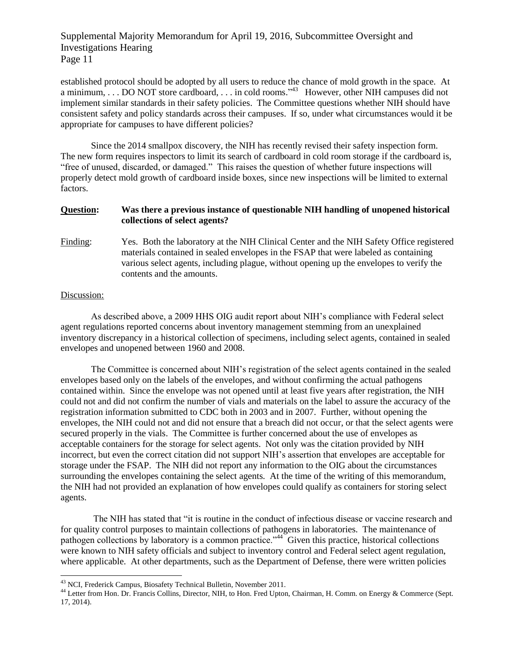established protocol should be adopted by all users to reduce the chance of mold growth in the space. At a minimum, ... DO NOT store cardboard, ... in cold rooms."<sup>43</sup> However, other NIH campuses did not implement similar standards in their safety policies. The Committee questions whether NIH should have consistent safety and policy standards across their campuses. If so, under what circumstances would it be appropriate for campuses to have different policies?

Since the 2014 smallpox discovery, the NIH has recently revised their safety inspection form. The new form requires inspectors to limit its search of cardboard in cold room storage if the cardboard is, "free of unused, discarded, or damaged." This raises the question of whether future inspections will properly detect mold growth of cardboard inside boxes, since new inspections will be limited to external factors.

### **Question: Was there a previous instance of questionable NIH handling of unopened historical collections of select agents?**

Finding: Yes. Both the laboratory at the NIH Clinical Center and the NIH Safety Office registered materials contained in sealed envelopes in the FSAP that were labeled as containing various select agents, including plague, without opening up the envelopes to verify the contents and the amounts.

#### Discussion:

l

As described above, a 2009 HHS OIG audit report about NIH's compliance with Federal select agent regulations reported concerns about inventory management stemming from an unexplained inventory discrepancy in a historical collection of specimens, including select agents, contained in sealed envelopes and unopened between 1960 and 2008.

The Committee is concerned about NIH's registration of the select agents contained in the sealed envelopes based only on the labels of the envelopes, and without confirming the actual pathogens contained within. Since the envelope was not opened until at least five years after registration, the NIH could not and did not confirm the number of vials and materials on the label to assure the accuracy of the registration information submitted to CDC both in 2003 and in 2007. Further, without opening the envelopes, the NIH could not and did not ensure that a breach did not occur, or that the select agents were secured properly in the vials. The Committee is further concerned about the use of envelopes as acceptable containers for the storage for select agents. Not only was the citation provided by NIH incorrect, but even the correct citation did not support NIH's assertion that envelopes are acceptable for storage under the FSAP. The NIH did not report any information to the OIG about the circumstances surrounding the envelopes containing the select agents. At the time of the writing of this memorandum, the NIH had not provided an explanation of how envelopes could qualify as containers for storing select agents.

The NIH has stated that "it is routine in the conduct of infectious disease or vaccine research and for quality control purposes to maintain collections of pathogens in laboratories. The maintenance of pathogen collections by laboratory is a common practice."<sup>44</sup> Given this practice, historical collections were known to NIH safety officials and subject to inventory control and Federal select agent regulation, where applicable. At other departments, such as the Department of Defense, there were written policies

<sup>&</sup>lt;sup>43</sup> NCI, Frederick Campus, Biosafety Technical Bulletin, November 2011.

<sup>&</sup>lt;sup>44</sup> Letter from Hon. Dr. Francis Collins, Director, NIH, to Hon. Fred Upton, Chairman, H. Comm. on Energy & Commerce (Sept. 17, 2014).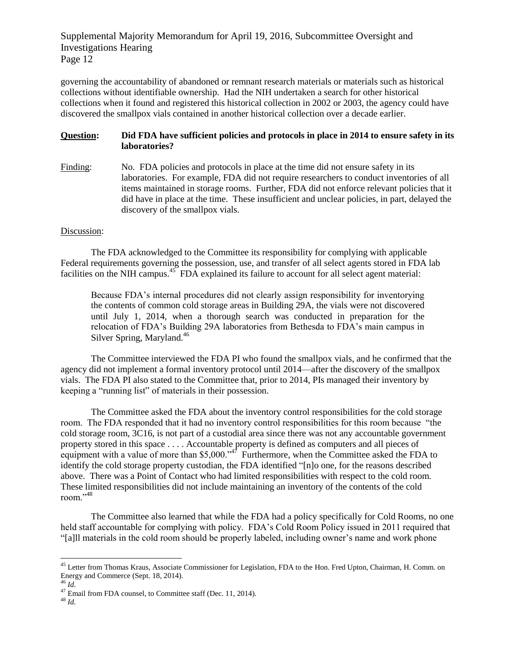governing the accountability of abandoned or remnant research materials or materials such as historical collections without identifiable ownership. Had the NIH undertaken a search for other historical collections when it found and registered this historical collection in 2002 or 2003, the agency could have discovered the smallpox vials contained in another historical collection over a decade earlier.

## **Question: Did FDA have sufficient policies and protocols in place in 2014 to ensure safety in its laboratories?**

Finding: No. FDA policies and protocols in place at the time did not ensure safety in its laboratories. For example, FDA did not require researchers to conduct inventories of all items maintained in storage rooms. Further, FDA did not enforce relevant policies that it did have in place at the time. These insufficient and unclear policies, in part, delayed the discovery of the smallpox vials.

## Discussion:

The FDA acknowledged to the Committee its responsibility for complying with applicable Federal requirements governing the possession, use, and transfer of all select agents stored in FDA lab facilities on the NIH campus.<sup>45</sup> FDA explained its failure to account for all select agent material:

Because FDA's internal procedures did not clearly assign responsibility for inventorying the contents of common cold storage areas in Building 29A, the vials were not discovered until July 1, 2014, when a thorough search was conducted in preparation for the relocation of FDA's Building 29A laboratories from Bethesda to FDA's main campus in Silver Spring, Maryland.<sup>46</sup>

The Committee interviewed the FDA PI who found the smallpox vials, and he confirmed that the agency did not implement a formal inventory protocol until 2014—after the discovery of the smallpox vials. The FDA PI also stated to the Committee that, prior to 2014, PIs managed their inventory by keeping a "running list" of materials in their possession.

The Committee asked the FDA about the inventory control responsibilities for the cold storage room. The FDA responded that it had no inventory control responsibilities for this room because "the cold storage room, 3C16, is not part of a custodial area since there was not any accountable government property stored in this space . . . . Accountable property is defined as computers and all pieces of equipment with a value of more than \$5,000."<sup> $47$ </sup> Furthermore, when the Committee asked the FDA to identify the cold storage property custodian, the FDA identified "[n]o one, for the reasons described above. There was a Point of Contact who had limited responsibilities with respect to the cold room. These limited responsibilities did not include maintaining an inventory of the contents of the cold room."<sup>48</sup>

The Committee also learned that while the FDA had a policy specifically for Cold Rooms, no one held staff accountable for complying with policy. FDA's Cold Room Policy issued in 2011 required that "[a]ll materials in the cold room should be properly labeled, including owner's name and work phone

l

<sup>&</sup>lt;sup>45</sup> Letter from Thomas Kraus, Associate Commissioner for Legislation, FDA to the Hon. Fred Upton, Chairman, H. Comm. on Energy and Commerce (Sept. 18, 2014). <sup>46</sup> *Id*.

<sup>&</sup>lt;sup>47</sup> Email from FDA counsel, to Committee staff (Dec. 11, 2014).

<sup>48</sup> *Id.*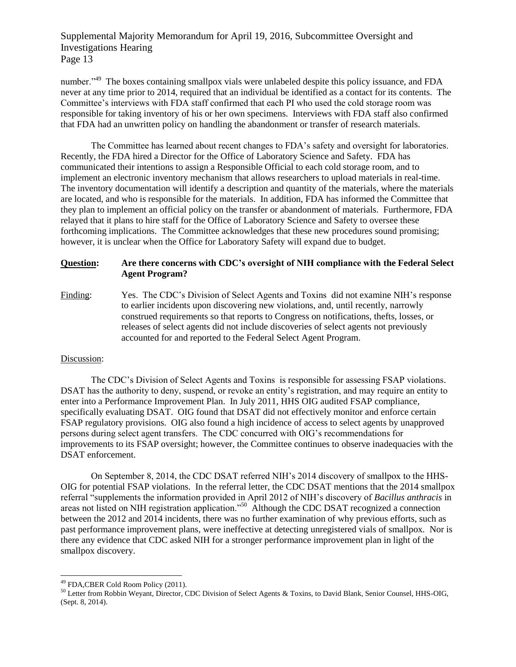number."<sup>49</sup> The boxes containing smallpox vials were unlabeled despite this policy issuance, and FDA never at any time prior to 2014, required that an individual be identified as a contact for its contents. The Committee's interviews with FDA staff confirmed that each PI who used the cold storage room was responsible for taking inventory of his or her own specimens. Interviews with FDA staff also confirmed that FDA had an unwritten policy on handling the abandonment or transfer of research materials.

The Committee has learned about recent changes to FDA's safety and oversight for laboratories. Recently, the FDA hired a Director for the Office of Laboratory Science and Safety. FDA has communicated their intentions to assign a Responsible Official to each cold storage room, and to implement an electronic inventory mechanism that allows researchers to upload materials in real-time. The inventory documentation will identify a description and quantity of the materials, where the materials are located, and who is responsible for the materials. In addition, FDA has informed the Committee that they plan to implement an official policy on the transfer or abandonment of materials. Furthermore, FDA relayed that it plans to hire staff for the Office of Laboratory Science and Safety to oversee these forthcoming implications. The Committee acknowledges that these new procedures sound promising; however, it is unclear when the Office for Laboratory Safety will expand due to budget.

### **Question: Are there concerns with CDC's oversight of NIH compliance with the Federal Select Agent Program?**

Finding: Yes. The CDC's Division of Select Agents and Toxins did not examine NIH's response to earlier incidents upon discovering new violations, and, until recently, narrowly construed requirements so that reports to Congress on notifications, thefts, losses, or releases of select agents did not include discoveries of select agents not previously accounted for and reported to the Federal Select Agent Program.

### Discussion:

l

The CDC's Division of Select Agents and Toxins is responsible for assessing FSAP violations. DSAT has the authority to deny, suspend, or revoke an entity's registration, and may require an entity to enter into a Performance Improvement Plan. In July 2011, HHS OIG audited FSAP compliance, specifically evaluating DSAT. OIG found that DSAT did not effectively monitor and enforce certain FSAP regulatory provisions. OIG also found a high incidence of access to select agents by unapproved persons during select agent transfers. The CDC concurred with OIG's recommendations for improvements to its FSAP oversight; however, the Committee continues to observe inadequacies with the DSAT enforcement.

On September 8, 2014, the CDC DSAT referred NIH's 2014 discovery of smallpox to the HHS-OIG for potential FSAP violations. In the referral letter, the CDC DSAT mentions that the 2014 smallpox referral "supplements the information provided in April 2012 of NIH's discovery of *Bacillus anthracis* in areas not listed on NIH registration application."<sup>50</sup> Although the CDC DSAT recognized a connection between the 2012 and 2014 incidents, there was no further examination of why previous efforts, such as past performance improvement plans, were ineffective at detecting unregistered vials of smallpox. Nor is there any evidence that CDC asked NIH for a stronger performance improvement plan in light of the smallpox discovery.

<sup>&</sup>lt;sup>49</sup> FDA, CBER Cold Room Policy (2011).

<sup>&</sup>lt;sup>50</sup> Letter from Robbin Weyant, Director, CDC Division of Select Agents & Toxins, to David Blank, Senior Counsel, HHS-OIG, (Sept. 8, 2014).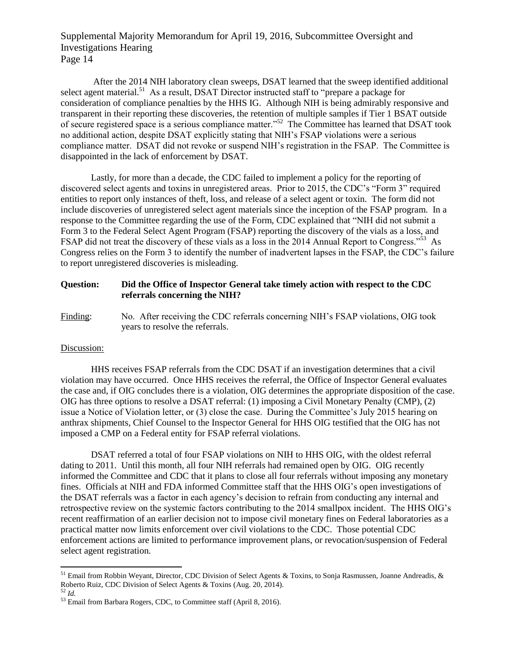After the 2014 NIH laboratory clean sweeps, DSAT learned that the sweep identified additional select agent material.<sup>51</sup> As a result, DSAT Director instructed staff to "prepare a package for consideration of compliance penalties by the HHS IG. Although NIH is being admirably responsive and transparent in their reporting these discoveries, the retention of multiple samples if Tier 1 BSAT outside of secure registered space is a serious compliance matter."<sup>52</sup> The Committee has learned that DSAT took no additional action, despite DSAT explicitly stating that NIH's FSAP violations were a serious compliance matter. DSAT did not revoke or suspend NIH's registration in the FSAP. The Committee is disappointed in the lack of enforcement by DSAT.

Lastly, for more than a decade, the CDC failed to implement a policy for the reporting of discovered select agents and toxins in unregistered areas. Prior to 2015, the CDC's "Form 3" required entities to report only instances of theft, loss, and release of a select agent or toxin. The form did not include discoveries of unregistered select agent materials since the inception of the FSAP program. In a response to the Committee regarding the use of the Form, CDC explained that "NIH did not submit a Form 3 to the Federal Select Agent Program (FSAP) reporting the discovery of the vials as a loss, and FSAP did not treat the discovery of these vials as a loss in the 2014 Annual Report to Congress."<sup>53</sup> As Congress relies on the Form 3 to identify the number of inadvertent lapses in the FSAP, the CDC's failure to report unregistered discoveries is misleading.

## **Question: Did the Office of Inspector General take timely action with respect to the CDC referrals concerning the NIH?**

Finding: No. After receiving the CDC referrals concerning NIH's FSAP violations, OIG took years to resolve the referrals.

### Discussion:

HHS receives FSAP referrals from the CDC DSAT if an investigation determines that a civil violation may have occurred. Once HHS receives the referral, the Office of Inspector General evaluates the case and, if OIG concludes there is a violation, OIG determines the appropriate disposition of the case. OIG has three options to resolve a DSAT referral: (1) imposing a Civil Monetary Penalty (CMP), (2) issue a Notice of Violation letter, or (3) close the case. During the Committee's July 2015 hearing on anthrax shipments, Chief Counsel to the Inspector General for HHS OIG testified that the OIG has not imposed a CMP on a Federal entity for FSAP referral violations.

DSAT referred a total of four FSAP violations on NIH to HHS OIG, with the oldest referral dating to 2011. Until this month, all four NIH referrals had remained open by OIG. OIG recently informed the Committee and CDC that it plans to close all four referrals without imposing any monetary fines. Officials at NIH and FDA informed Committee staff that the HHS OIG's open investigations of the DSAT referrals was a factor in each agency's decision to refrain from conducting any internal and retrospective review on the systemic factors contributing to the 2014 smallpox incident. The HHS OIG's recent reaffirmation of an earlier decision not to impose civil monetary fines on Federal laboratories as a practical matter now limits enforcement over civil violations to the CDC. Those potential CDC enforcement actions are limited to performance improvement plans, or revocation/suspension of Federal select agent registration.

<sup>&</sup>lt;sup>51</sup> Email from Robbin Weyant, Director, CDC Division of Select Agents & Toxins, to Sonja Rasmussen, Joanne Andreadis, & Roberto Ruiz, CDC Division of Select Agents & Toxins (Aug. 20, 2014).

<sup>52</sup> *Id.*

<sup>53</sup> Email from Barbara Rogers, CDC, to Committee staff (April 8, 2016).